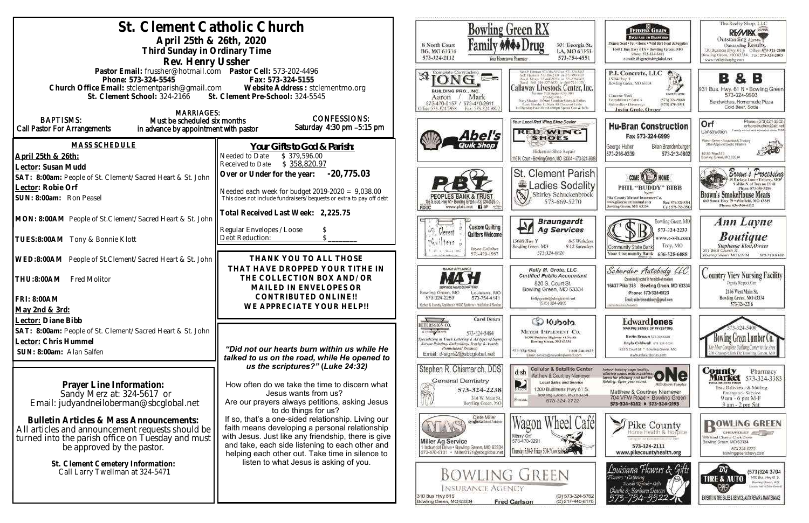| St. Clement Catholic Church<br>April 25th & 26th, 2020<br>Third Sunday in Ordinary Time                                                                                                                                                                                                                                                                                | Bowling Green RX<br>8 North Court<br>301 Georgia St.<br>BG, MO 63334<br>LA, MO 63353<br>573-324-2112<br>573-754-4551<br>tour Hostetown Pharmacy.                                                                                                                                                                                                                                                                                                                                                   |                                                                                                                                                                                                                                                                                                                                                                          |                                                                                                                                                                                                                                                                                                                                                                                                                                           |
|------------------------------------------------------------------------------------------------------------------------------------------------------------------------------------------------------------------------------------------------------------------------------------------------------------------------------------------------------------------------|----------------------------------------------------------------------------------------------------------------------------------------------------------------------------------------------------------------------------------------------------------------------------------------------------------------------------------------------------------------------------------------------------------------------------------------------------------------------------------------------------|--------------------------------------------------------------------------------------------------------------------------------------------------------------------------------------------------------------------------------------------------------------------------------------------------------------------------------------------------------------------------|-------------------------------------------------------------------------------------------------------------------------------------------------------------------------------------------------------------------------------------------------------------------------------------------------------------------------------------------------------------------------------------------------------------------------------------------|
| Rev. Henry Ussher<br>Pastor Email: frussher@hotmail.com    Pastor Cell: 573-202-4496<br>Phone: 573-324-5545<br>Church Office Email: stclementparish@gmail.com Website Address : stclementmo.org<br>St. Clement School: 324-2166 St. Clement Pre-School: 324-5545<br><b>MARRIAGES:</b>                                                                                  | Complete Contracting<br>BUILDING PRO., INC.<br>Mark<br>Aaron<br>573-470-0157 / 573-470-2911<br>Hitce:573-324-5958<br>Fax: 573-324-9802                                                                                                                                                                                                                                                                                                                                                             | Callaway Livestock Center, Inc.<br>Every Monday 10:00am Stagpher Steers & Heifers<br>Every Mendire 12: Minta All Classes of Cable<br>Lit Thursday East: Munth 6:00pm Special Cow & Bul                                                                                                                                                                                   |                                                                                                                                                                                                                                                                                                                                                                                                                                           |
| <b>BAPTISMS:</b><br>Must be scheduled six months<br><b>Call Pastor For Arrangements</b><br>in advance by appointment with pastor                                                                                                                                                                                                                                       | <b>CONFESSIONS:</b><br>Saturday 4:30 pm -5:15 pm                                                                                                                                                                                                                                                                                                                                                                                                                                                   | Abel's                                                                                                                                                                                                                                                                                                                                                                   | Your Local Red Wing Shoe Dealer<br><b>RED WING</b><br><b>SHOES</b>                                                                                                                                                                                                                                                                                                                                                                        |
| MASS SCHEDULE<br>April 25th & 26th:<br>Lector: Susan Mudd<br>SAT: 8:00am: People of St. Clement/Sacred Heart & St. John<br>Lector: Robie Orf<br>SUN: 8:00am: Ron Peasel<br>MON: 8:00AM People of St.Clement/Sacred Heart & St. John<br>TUES:8:00AM Tony & Bonnie Klott<br>WED:8:00AM People of St.Clement/Sacred Heart & St. John<br>THU:8:00AM<br><b>Fred Molitor</b> | Your Gifts to God & Parish:<br>\$379,596.00<br>Needed to Date<br>\$358,820.97<br>Received to Date<br>$-20,775.03$<br>Over or Under for the year:<br>Needed each week for budget $2019-2020 = 9,038.00$<br>This does not include fundraisers/bequests or extra to pay off debt<br>Total Received Last Week: 2,225.75<br>Regular Envelopes / Loose<br>Debt Reduction:<br>THANK YOU TO ALL THOSE<br>THAT HAVE DROPPED YOUR TITHE IN<br>THE COLLECTION BOX AND/OR<br>MAILED IN ENVELOPES OR            | www.pbtc.net <b>KI</b><br>FDIC<br><b>Custom Quilting</b><br>πY∲<br>Gerett<br><b>Quilters Welcome</b><br>$f$ ers<br>Joyce Gollaher<br>573-470-1997<br>MAJOR APPLIANCE<br>Bowling Green, MO<br>Louisiana, MO                                                                                                                                                               | Hickerson Shoe Repair<br>116 N. Court . Bowling Green, MO 63334 . 573-324-368<br><b>St. Clement Parish</b><br>Ladies Sodality<br>$\mathbb{Z}$<br>Shirley Schuckenbrock<br>573-669-5270<br><b>Braungardt</b><br>FП<br><b>Ag Services</b><br>8-5 Weekdays<br>13688 Hwy Y<br>Bowling Green, MO<br>8-12 Saturdays<br>573-324-6820<br>Kelly M. Grote, LLC<br><b>Certified Public Accountant</b><br>820 S. Court St.<br>Bowling Green, MO 63334 |
| FRI: 8:00AM<br>May 2nd & 3rd:<br>Lector: Diane Bibb<br>SAT: 8:00am: People of St. Clement/Sacred Heart & St. John<br>Lector: Chris Hummel<br>SUN: 8:00am: Alan Salfen                                                                                                                                                                                                  | CONTRIBUTED ONLINE !!<br>WE APPRECIATE YOUR HELP!!<br>"Did not our hearts burn within us while He<br>talked to us on the road, while He opened to                                                                                                                                                                                                                                                                                                                                                  | 573-324-2259<br>573-754-4141<br>Kilohen & Laundry Appliance - HVAC Systems - Installation & Service<br><b>Carol Deters</b><br>DETERS SIGN CO<br>A T-SIGNLABORYK<br>573-324-5484<br>pecializing in Truck Lettering & All types of Signs<br>Screen Printing, Embroidery, Trophy & Awards.<br>Pramotional Products<br>Email: d-signs2@sbcglobal.net                         | kelly.grote@sbcglobai.net<br>(573) 324-9885<br>Colcoux Co<br>MEYER IMPLEMENT CO.<br>16398 Business Highway 61 North<br>Bowling Green, MO 63334<br>573-324-5261<br>1-800-246-6623<br>Email: service@meyerimplement.com                                                                                                                                                                                                                     |
| Prayer Line Information:<br>Sandy Merz at: 324-5617 or<br>Email: judyandneiloberman@sbcglobal.net<br><b>Bulletin Articles &amp; Mass Announcements:</b><br>All articles and announcement requests should be<br>turned into the parish office on Tuesday and must<br>be approved by the pastor.<br>St. Clement Cemetery Information:<br>Call Larry Twellman at 324-5471 | us the scriptures?" (Luke 24:32)<br>How often do we take the time to discern what<br>Jesus wants from us?<br>Are our prayers always petitions, asking Jesus<br>to do things for us?<br>If so, that's a one-sided relationship. Living our<br>faith means developing a personal relationship<br>with Jesus. Just like any friendship, there is give<br>and take, each side listening to each other and<br>helping each other out. Take time in silence to<br>listen to what Jesus is asking of you. | Stephen R. Chismarich, DDS<br>General Dentistry<br>573-324-2238<br>310 W. Main St.<br>Bowling Green, MO<br>Clete Miller<br>Syngenta Seed Advisor<br><b>Miller Ag Service</b><br>1 Industrial Drive . Bowling Green, MO 63334<br>573-470-0101 · Miller0121@sbcglobal.net<br><b>BOWLING GREEN</b><br><b>INSURANCE AGENCY</b><br>310 Bus Hwy 61S<br>Bowling Green, MO 63334 | <b>Cellular &amp; Satellite Center</b><br>d sh<br>Matthew & Courtney Niemeyer<br><b>Local Sales and Service</b><br>D<br>1300 Business Hwy 61 S.<br>BIRECTY<br>Bowling Green, MO 63334<br>POLOBIC<br>573-324-3722<br>Missy Orl<br>573-470-0291<br>Thursday 5:34-2-Friday 5:34-7 Cove<br>(O) 573-324-5762<br><b>Fred Carlson</b><br>(C) 217-440-6170                                                                                        |